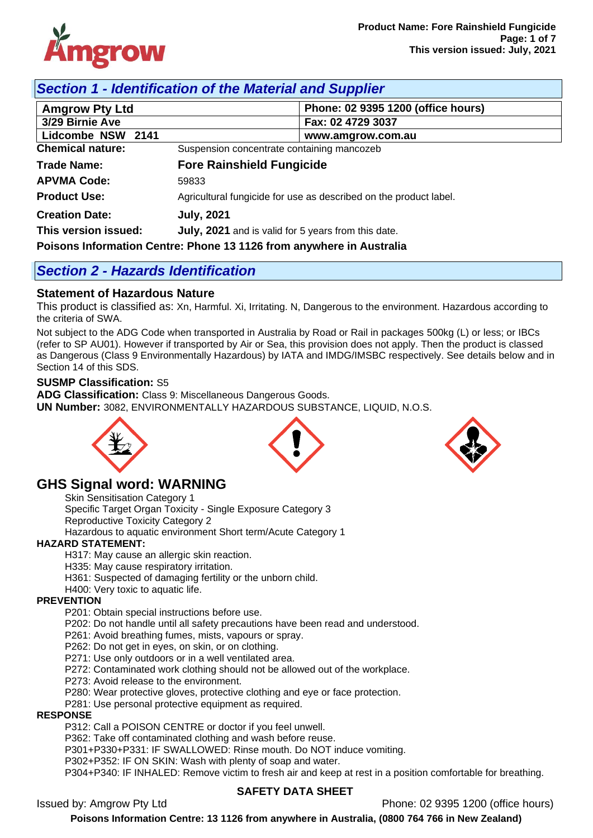

## *Section 1 - Identification of the Material and Supplier*

| <b>Amgrow Pty Ltd</b>                                                | Phone: 02 9395 1200 (office hours)                                |  |  |  |
|----------------------------------------------------------------------|-------------------------------------------------------------------|--|--|--|
| 3/29 Birnie Ave                                                      | Fax: 02 4729 3037                                                 |  |  |  |
| Lidcombe NSW 2141                                                    | www.amgrow.com.au                                                 |  |  |  |
| <b>Chemical nature:</b>                                              | Suspension concentrate containing mancozeb                        |  |  |  |
| <b>Trade Name:</b>                                                   | <b>Fore Rainshield Fungicide</b>                                  |  |  |  |
| <b>APVMA Code:</b>                                                   | 59833                                                             |  |  |  |
| <b>Product Use:</b>                                                  | Agricultural fungicide for use as described on the product label. |  |  |  |
| <b>Creation Date:</b>                                                | <b>July, 2021</b>                                                 |  |  |  |
| This version issued:                                                 | July, 2021 and is valid for 5 years from this date.               |  |  |  |
| Poisons Information Centre: Phone 13 1126 from anywhere in Australia |                                                                   |  |  |  |

# *Section 2 - Hazards Identification*

### **Statement of Hazardous Nature**

This product is classified as: Xn, Harmful. Xi, Irritating. N, Dangerous to the environment. Hazardous according to the criteria of SWA.

Not subject to the ADG Code when transported in Australia by Road or Rail in packages 500kg (L) or less; or IBCs (refer to SP AU01). However if transported by Air or Sea, this provision does not apply. Then the product is classed as Dangerous (Class 9 Environmentally Hazardous) by IATA and IMDG/IMSBC respectively. See details below and in Section 14 of this SDS.

### **SUSMP Classification:** S5

**ADG Classification:** Class 9: Miscellaneous Dangerous Goods. **UN Number:** 3082, ENVIRONMENTALLY HAZARDOUS SUBSTANCE, LIQUID, N.O.S.



## **GHS Signal word: WARNING**

Skin Sensitisation Category 1 Specific Target Organ Toxicity - Single Exposure Category 3 Reproductive Toxicity Category 2 Hazardous to aquatic environment Short term/Acute Category 1

### **HAZARD STATEMENT:**

H317: May cause an allergic skin reaction.

H335: May cause respiratory irritation.

H361: Suspected of damaging fertility or the unborn child.

#### H400: Very toxic to aquatic life. **PREVENTION**

P201: Obtain special instructions before use.

P202: Do not handle until all safety precautions have been read and understood.

P261: Avoid breathing fumes, mists, vapours or spray.

P262: Do not get in eyes, on skin, or on clothing.

P271: Use only outdoors or in a well ventilated area.

P272: Contaminated work clothing should not be allowed out of the workplace.

P273: Avoid release to the environment.

P280: Wear protective gloves, protective clothing and eye or face protection.

P281: Use personal protective equipment as required.

#### **RESPONSE**

P312: Call a POISON CENTRE or doctor if you feel unwell.

P362: Take off contaminated clothing and wash before reuse.

P301+P330+P331: IF SWALLOWED: Rinse mouth. Do NOT induce vomiting.

P302+P352: IF ON SKIN: Wash with plenty of soap and water.

P304+P340: IF INHALED: Remove victim to fresh air and keep at rest in a position comfortable for breathing.

### **SAFETY DATA SHEET**

Issued by: Amgrow Pty Ltd Phone: 02 9395 1200 (office hours)



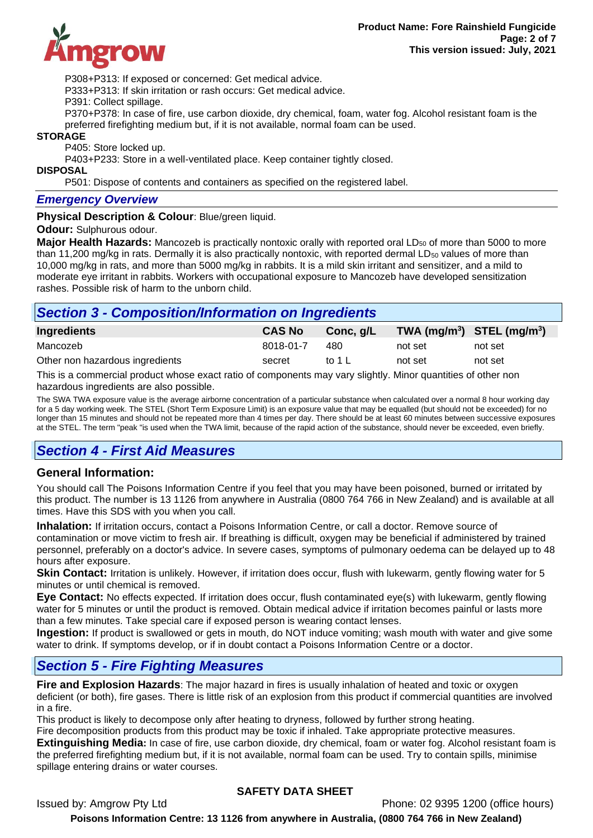

P308+P313: If exposed or concerned: Get medical advice.

P333+P313: If skin irritation or rash occurs: Get medical advice.

P391: Collect spillage.

P370+P378: In case of fire, use carbon dioxide, dry chemical, foam, water fog. Alcohol resistant foam is the preferred firefighting medium but, if it is not available, normal foam can be used.

#### **STORAGE**

P405: Store locked up.

P403+P233: Store in a well-ventilated place. Keep container tightly closed.

#### **DISPOSAL**

P501: Dispose of contents and containers as specified on the registered label.

#### *Emergency Overview*

**Physical Description & Colour: Blue/green liquid.** 

#### **Odour:** Sulphurous odour.

**Major Health Hazards:** Mancozeb is practically nontoxic orally with reported oral LD<sub>50</sub> of more than 5000 to more than 11,200 mg/kg in rats. Dermally it is also practically nontoxic, with reported dermal  $LD_{50}$  values of more than 10,000 mg/kg in rats, and more than 5000 mg/kg in rabbits. It is a mild skin irritant and sensitizer, and a mild to moderate eye irritant in rabbits. Workers with occupational exposure to Mancozeb have developed sensitization rashes. Possible risk of harm to the unborn child.

## *Section 3 - Composition/Information on Ingredients*

| Ingredients                     | <b>CAS No</b> | Conc, g/L | TWA $(mg/m^3)$ STEL $(mg/m^3)$ |         |
|---------------------------------|---------------|-----------|--------------------------------|---------|
| Mancozeb                        | 8018-01-7     | 480       | not set                        | not set |
| Other non hazardous ingredients | secret        | to 1 L    | not set                        | not set |
| ____                            |               |           |                                |         |

This is a commercial product whose exact ratio of components may vary slightly. Minor quantities of other non hazardous ingredients are also possible.

The SWA TWA exposure value is the average airborne concentration of a particular substance when calculated over a normal 8 hour working day for a 5 day working week. The STEL (Short Term Exposure Limit) is an exposure value that may be equalled (but should not be exceeded) for no longer than 15 minutes and should not be repeated more than 4 times per day. There should be at least 60 minutes between successive exposures at the STEL. The term "peak "is used when the TWA limit, because of the rapid action of the substance, should never be exceeded, even briefly.

## *Section 4 - First Aid Measures*

#### **General Information:**

You should call The Poisons Information Centre if you feel that you may have been poisoned, burned or irritated by this product. The number is 13 1126 from anywhere in Australia (0800 764 766 in New Zealand) and is available at all times. Have this SDS with you when you call.

**Inhalation:** If irritation occurs, contact a Poisons Information Centre, or call a doctor. Remove source of contamination or move victim to fresh air. If breathing is difficult, oxygen may be beneficial if administered by trained personnel, preferably on a doctor's advice. In severe cases, symptoms of pulmonary oedema can be delayed up to 48 hours after exposure.

**Skin Contact:** Irritation is unlikely. However, if irritation does occur, flush with lukewarm, gently flowing water for 5 minutes or until chemical is removed.

**Eye Contact:** No effects expected. If irritation does occur, flush contaminated eye(s) with lukewarm, gently flowing water for 5 minutes or until the product is removed. Obtain medical advice if irritation becomes painful or lasts more than a few minutes. Take special care if exposed person is wearing contact lenses.

**Ingestion:** If product is swallowed or gets in mouth, do NOT induce vomiting; wash mouth with water and give some water to drink. If symptoms develop, or if in doubt contact a Poisons Information Centre or a doctor.

### *Section 5 - Fire Fighting Measures*

**Fire and Explosion Hazards**: The major hazard in fires is usually inhalation of heated and toxic or oxygen deficient (or both), fire gases. There is little risk of an explosion from this product if commercial quantities are involved in a fire.

This product is likely to decompose only after heating to dryness, followed by further strong heating.

Fire decomposition products from this product may be toxic if inhaled. Take appropriate protective measures. **Extinguishing Media:** In case of fire, use carbon dioxide, dry chemical, foam or water fog. Alcohol resistant foam is the preferred firefighting medium but, if it is not available, normal foam can be used. Try to contain spills, minimise spillage entering drains or water courses.

### **SAFETY DATA SHEET**

Issued by: Amgrow Pty Ltd Phone: 02 9395 1200 (office hours)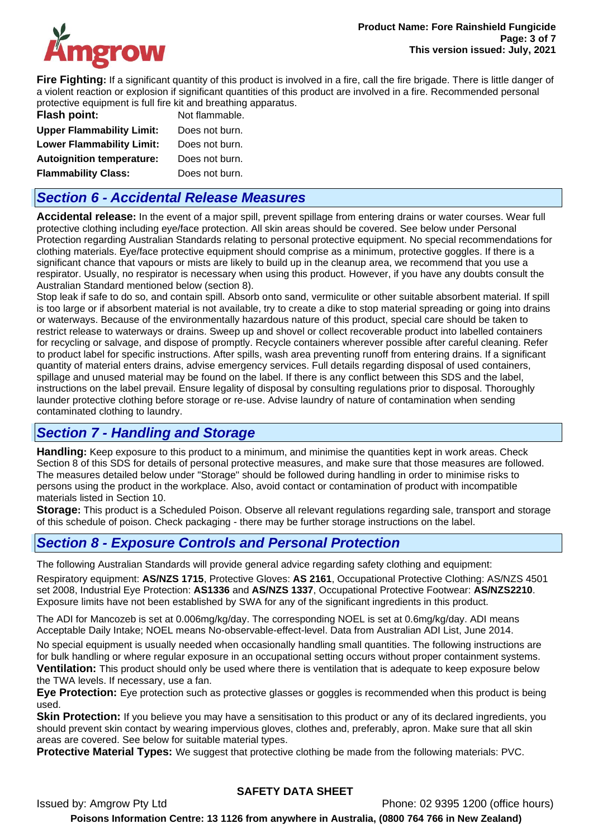

**Fire Fighting:** If a significant quantity of this product is involved in a fire, call the fire brigade. There is little danger of a violent reaction or explosion if significant quantities of this product are involved in a fire. Recommended personal protective equipment is full fire kit and breathing apparatus.

| Flash point:                     | Not flammable. |
|----------------------------------|----------------|
| <b>Upper Flammability Limit:</b> | Does not burn. |
| <b>Lower Flammability Limit:</b> | Does not burn. |
| <b>Autoignition temperature:</b> | Does not burn. |
| <b>Flammability Class:</b>       | Does not burn. |

## *Section 6 - Accidental Release Measures*

**Accidental release:** In the event of a major spill, prevent spillage from entering drains or water courses. Wear full protective clothing including eye/face protection. All skin areas should be covered. See below under Personal Protection regarding Australian Standards relating to personal protective equipment. No special recommendations for clothing materials. Eye/face protective equipment should comprise as a minimum, protective goggles. If there is a significant chance that vapours or mists are likely to build up in the cleanup area, we recommend that you use a respirator. Usually, no respirator is necessary when using this product. However, if you have any doubts consult the Australian Standard mentioned below (section 8).

Stop leak if safe to do so, and contain spill. Absorb onto sand, vermiculite or other suitable absorbent material. If spill is too large or if absorbent material is not available, try to create a dike to stop material spreading or going into drains or waterways. Because of the environmentally hazardous nature of this product, special care should be taken to restrict release to waterways or drains. Sweep up and shovel or collect recoverable product into labelled containers for recycling or salvage, and dispose of promptly. Recycle containers wherever possible after careful cleaning. Refer to product label for specific instructions. After spills, wash area preventing runoff from entering drains. If a significant quantity of material enters drains, advise emergency services. Full details regarding disposal of used containers, spillage and unused material may be found on the label. If there is any conflict between this SDS and the label, instructions on the label prevail. Ensure legality of disposal by consulting regulations prior to disposal. Thoroughly launder protective clothing before storage or re-use. Advise laundry of nature of contamination when sending contaminated clothing to laundry.

## *Section 7 - Handling and Storage*

**Handling:** Keep exposure to this product to a minimum, and minimise the quantities kept in work areas. Check Section 8 of this SDS for details of personal protective measures, and make sure that those measures are followed. The measures detailed below under "Storage" should be followed during handling in order to minimise risks to persons using the product in the workplace. Also, avoid contact or contamination of product with incompatible materials listed in Section 10.

**Storage:** This product is a Scheduled Poison. Observe all relevant regulations regarding sale, transport and storage of this schedule of poison. Check packaging - there may be further storage instructions on the label.

## *Section 8 - Exposure Controls and Personal Protection*

The following Australian Standards will provide general advice regarding safety clothing and equipment:

Respiratory equipment: **AS/NZS 1715**, Protective Gloves: **AS 2161**, Occupational Protective Clothing: AS/NZS 4501 set 2008, Industrial Eye Protection: **AS1336** and **AS/NZS 1337**, Occupational Protective Footwear: **AS/NZS2210**. Exposure limits have not been established by SWA for any of the significant ingredients in this product.

The ADI for Mancozeb is set at 0.006mg/kg/day. The corresponding NOEL is set at 0.6mg/kg/day. ADI means Acceptable Daily Intake; NOEL means No-observable-effect-level. Data from Australian ADI List, June 2014.

No special equipment is usually needed when occasionally handling small quantities. The following instructions are for bulk handling or where regular exposure in an occupational setting occurs without proper containment systems. **Ventilation:** This product should only be used where there is ventilation that is adequate to keep exposure below the TWA levels. If necessary, use a fan.

**Eye Protection:** Eye protection such as protective glasses or goggles is recommended when this product is being used.

**Skin Protection:** If you believe you may have a sensitisation to this product or any of its declared ingredients, you should prevent skin contact by wearing impervious gloves, clothes and, preferably, apron. Make sure that all skin areas are covered. See below for suitable material types.

**Protective Material Types:** We suggest that protective clothing be made from the following materials: PVC.

### **SAFETY DATA SHEET**

Issued by: Amgrow Pty Ltd Phone: 02 9395 1200 (office hours) **Poisons Information Centre: 13 1126 from anywhere in Australia, (0800 764 766 in New Zealand)**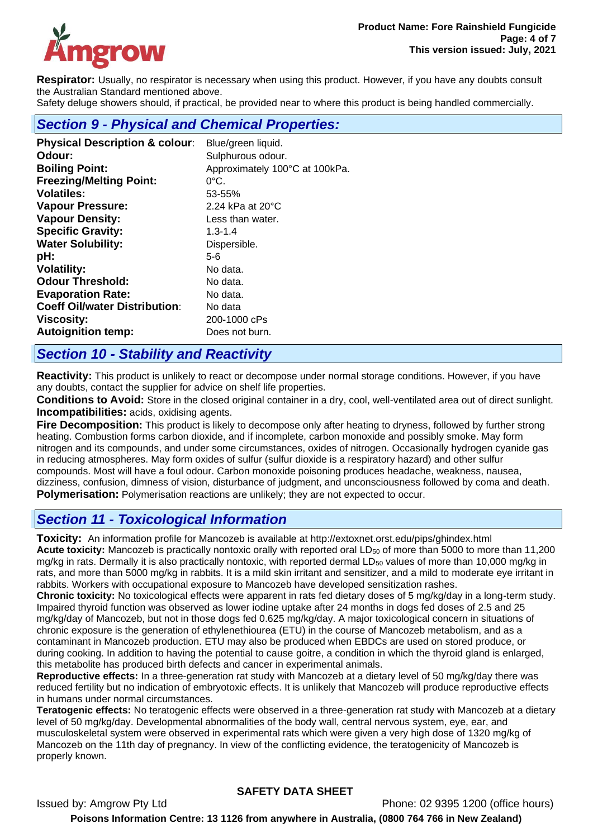

**Respirator:** Usually, no respirator is necessary when using this product. However, if you have any doubts consult the Australian Standard mentioned above.

Safety deluge showers should, if practical, be provided near to where this product is being handled commercially.

### *Section 9 - Physical and Chemical Properties:*

| <b>Physical Description &amp; colour:</b> | Blue/green liquid.             |
|-------------------------------------------|--------------------------------|
| Odour:                                    | Sulphurous odour.              |
| <b>Boiling Point:</b>                     | Approximately 100°C at 100kPa. |
| <b>Freezing/Melting Point:</b>            | 0°C.                           |
| <b>Volatiles:</b>                         | 53-55%                         |
| <b>Vapour Pressure:</b>                   | 2.24 kPa at $20^{\circ}$ C     |
| <b>Vapour Density:</b>                    | Less than water.               |
| <b>Specific Gravity:</b>                  | $1.3 - 1.4$                    |
| <b>Water Solubility:</b>                  | Dispersible.                   |
| pH:                                       | 5-6                            |
| <b>Volatility:</b>                        | No data.                       |
| <b>Odour Threshold:</b>                   | No data.                       |
| <b>Evaporation Rate:</b>                  | No data.                       |
| <b>Coeff Oil/water Distribution:</b>      | No data                        |
| <b>Viscosity:</b>                         | 200-1000 cPs                   |
| <b>Autoignition temp:</b>                 | Does not burn.                 |
|                                           |                                |

### *Section 10 - Stability and Reactivity*

**Reactivity:** This product is unlikely to react or decompose under normal storage conditions. However, if you have any doubts, contact the supplier for advice on shelf life properties.

**Conditions to Avoid:** Store in the closed original container in a dry, cool, well-ventilated area out of direct sunlight. **Incompatibilities:** acids, oxidising agents.

**Fire Decomposition:** This product is likely to decompose only after heating to dryness, followed by further strong heating. Combustion forms carbon dioxide, and if incomplete, carbon monoxide and possibly smoke. May form nitrogen and its compounds, and under some circumstances, oxides of nitrogen. Occasionally hydrogen cyanide gas in reducing atmospheres. May form oxides of sulfur (sulfur dioxide is a respiratory hazard) and other sulfur compounds. Most will have a foul odour. Carbon monoxide poisoning produces headache, weakness, nausea, dizziness, confusion, dimness of vision, disturbance of judgment, and unconsciousness followed by coma and death. **Polymerisation:** Polymerisation reactions are unlikely; they are not expected to occur.

## *Section 11 - Toxicological Information*

**Toxicity:** An information profile for Mancozeb is available at http://extoxnet.orst.edu/pips/ghindex.html Acute toxicity: Mancozeb is practically nontoxic orally with reported oral LD<sub>50</sub> of more than 5000 to more than 11,200 mg/kg in rats. Dermally it is also practically nontoxic, with reported dermal  $LD_{50}$  values of more than 10,000 mg/kg in rats, and more than 5000 mg/kg in rabbits. It is a mild skin irritant and sensitizer, and a mild to moderate eye irritant in rabbits. Workers with occupational exposure to Mancozeb have developed sensitization rashes.

**Chronic toxicity:** No toxicological effects were apparent in rats fed dietary doses of 5 mg/kg/day in a long-term study. Impaired thyroid function was observed as lower iodine uptake after 24 months in dogs fed doses of 2.5 and 25 mg/kg/day of Mancozeb, but not in those dogs fed 0.625 mg/kg/day. A major toxicological concern in situations of chronic exposure is the generation of ethylenethiourea (ETU) in the course of Mancozeb metabolism, and as a contaminant in Mancozeb production. ETU may also be produced when EBDCs are used on stored produce, or during cooking. In addition to having the potential to cause goitre, a condition in which the thyroid gland is enlarged, this metabolite has produced birth defects and cancer in experimental animals.

**Reproductive effects:** In a three-generation rat study with Mancozeb at a dietary level of 50 mg/kg/day there was reduced fertility but no indication of embryotoxic effects. It is unlikely that Mancozeb will produce reproductive effects in humans under normal circumstances.

**Teratogenic effects:** No teratogenic effects were observed in a three-generation rat study with Mancozeb at a dietary level of 50 mg/kg/day. Developmental abnormalities of the body wall, central nervous system, eye, ear, and musculoskeletal system were observed in experimental rats which were given a very high dose of 1320 mg/kg of Mancozeb on the 11th day of pregnancy. In view of the conflicting evidence, the teratogenicity of Mancozeb is properly known.

### **SAFETY DATA SHEET**

Issued by: Amgrow Pty Ltd Phone: 02 9395 1200 (office hours) **Poisons Information Centre: 13 1126 from anywhere in Australia, (0800 764 766 in New Zealand)**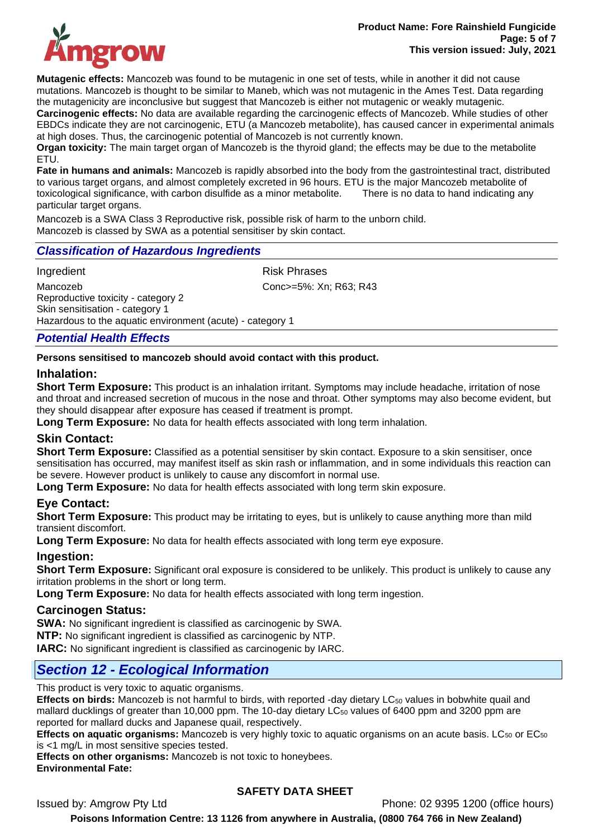

**Mutagenic effects:** Mancozeb was found to be mutagenic in one set of tests, while in another it did not cause mutations. Mancozeb is thought to be similar to Maneb, which was not mutagenic in the Ames Test. Data regarding the mutagenicity are inconclusive but suggest that Mancozeb is either not mutagenic or weakly mutagenic. **Carcinogenic effects:** No data are available regarding the carcinogenic effects of Mancozeb. While studies of other EBDCs indicate they are not carcinogenic, ETU (a Mancozeb metabolite), has caused cancer in experimental animals at high doses. Thus, the carcinogenic potential of Mancozeb is not currently known.

**Organ toxicity:** The main target organ of Mancozeb is the thyroid gland; the effects may be due to the metabolite ETU.

**Fate in humans and animals:** Mancozeb is rapidly absorbed into the body from the gastrointestinal tract, distributed to various target organs, and almost completely excreted in 96 hours. ETU is the major Mancozeb metabolite of toxicological significance, with carbon disulfide as a minor metabolite. There is no data to hand indicating any particular target organs.

Mancozeb is a SWA Class 3 Reproductive risk, possible risk of harm to the unborn child. Mancozeb is classed by SWA as a potential sensitiser by skin contact.

### *Classification of Hazardous Ingredients*

Ingredient **Risk Phrases** 

Mancozeb Conc>=5%: Xn; R63; R43 Reproductive toxicity - category 2 Skin sensitisation - category 1 Hazardous to the aquatic environment (acute) - category 1

### *Potential Health Effects*

#### **Persons sensitised to mancozeb should avoid contact with this product.**

### **Inhalation:**

**Short Term Exposure:** This product is an inhalation irritant. Symptoms may include headache, irritation of nose and throat and increased secretion of mucous in the nose and throat. Other symptoms may also become evident, but they should disappear after exposure has ceased if treatment is prompt.

**Long Term Exposure:** No data for health effects associated with long term inhalation.

### **Skin Contact:**

**Short Term Exposure:** Classified as a potential sensitiser by skin contact. Exposure to a skin sensitiser, once sensitisation has occurred, may manifest itself as skin rash or inflammation, and in some individuals this reaction can be severe. However product is unlikely to cause any discomfort in normal use.

**Long Term Exposure:** No data for health effects associated with long term skin exposure.

### **Eye Contact:**

**Short Term Exposure:** This product may be irritating to eyes, but is unlikely to cause anything more than mild transient discomfort.

**Long Term Exposure:** No data for health effects associated with long term eye exposure.

#### **Ingestion:**

**Short Term Exposure:** Significant oral exposure is considered to be unlikely. This product is unlikely to cause any irritation problems in the short or long term.

**Long Term Exposure:** No data for health effects associated with long term ingestion.

#### **Carcinogen Status:**

**SWA:** No significant ingredient is classified as carcinogenic by SWA.

**NTP:** No significant ingredient is classified as carcinogenic by NTP.

**IARC:** No significant ingredient is classified as carcinogenic by IARC.

### *Section 12 - Ecological Information*

This product is very toxic to aquatic organisms.

**Effects on birds:** Mancozeb is not harmful to birds, with reported -day dietary LC<sub>50</sub> values in bobwhite quail and mallard ducklings of greater than 10,000 ppm. The 10-day dietary LC<sub>50</sub> values of 6400 ppm and 3200 ppm are reported for mallard ducks and Japanese quail, respectively.

**Effects on aquatic organisms:** Mancozeb is very highly toxic to aquatic organisms on an acute basis. LC<sub>50</sub> or EC<sub>50</sub> is <1 mg/L in most sensitive species tested.

**Effects on other organisms:** Mancozeb is not toxic to honeybees.

**Environmental Fate:** 

### **SAFETY DATA SHEET**

Issued by: Amgrow Pty Ltd Phone: 02 9395 1200 (office hours)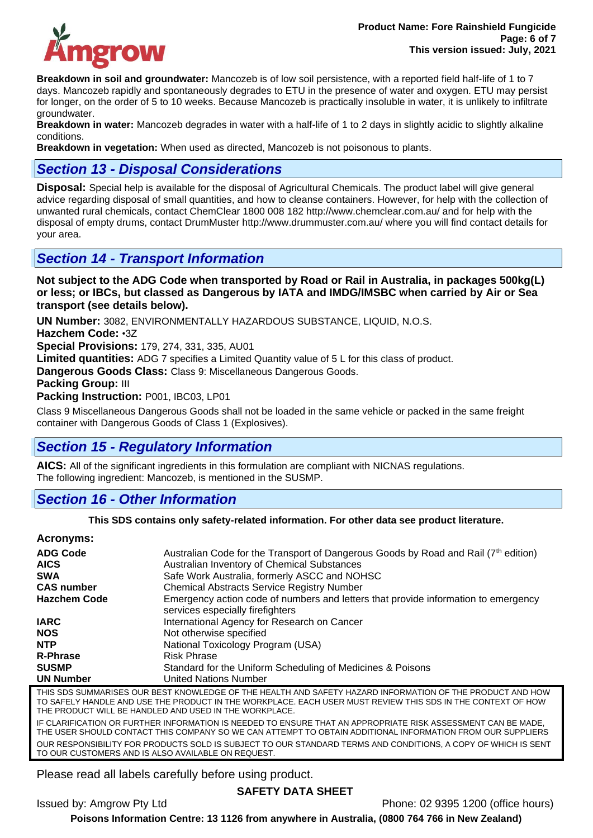

**Breakdown in soil and groundwater:** Mancozeb is of low soil persistence, with a reported field half-life of 1 to 7 days. Mancozeb rapidly and spontaneously degrades to ETU in the presence of water and oxygen. ETU may persist for longer, on the order of 5 to 10 weeks. Because Mancozeb is practically insoluble in water, it is unlikely to infiltrate groundwater.

**Breakdown in water:** Mancozeb degrades in water with a half-life of 1 to 2 days in slightly acidic to slightly alkaline conditions.

**Breakdown in vegetation:** When used as directed, Mancozeb is not poisonous to plants.

### *Section 13 - Disposal Considerations*

**Disposal:** Special help is available for the disposal of Agricultural Chemicals. The product label will give general advice regarding disposal of small quantities, and how to cleanse containers. However, for help with the collection of unwanted rural chemicals, contact ChemClear 1800 008 182 http://www.chemclear.com.au/ and for help with the disposal of empty drums, contact DrumMuster http://www.drummuster.com.au/ where you will find contact details for your area.

## *Section 14 - Transport Information*

**Not subject to the ADG Code when transported by Road or Rail in Australia, in packages 500kg(L) or less; or IBCs, but classed as Dangerous by IATA and IMDG/IMSBC when carried by Air or Sea transport (see details below).** 

**UN Number:** 3082, ENVIRONMENTALLY HAZARDOUS SUBSTANCE, LIQUID, N.O.S.

**Hazchem Code:** •3Z

**Special Provisions:** 179, 274, 331, 335, AU01

**Limited quantities:** ADG 7 specifies a Limited Quantity value of 5 L for this class of product.

**Dangerous Goods Class:** Class 9: Miscellaneous Dangerous Goods.

**Packing Group:** III

**Packing Instruction:** P001, IBC03, LP01

Class 9 Miscellaneous Dangerous Goods shall not be loaded in the same vehicle or packed in the same freight container with Dangerous Goods of Class 1 (Explosives).

## *Section 15 - Regulatory Information*

**AICS:** All of the significant ingredients in this formulation are compliant with NICNAS regulations. The following ingredient: Mancozeb, is mentioned in the SUSMP.

## *Section 16 - Other Information*

#### **This SDS contains only safety-related information. For other data see product literature.**

#### **Acronyms:**

| <b>ADG Code</b><br><b>AICS</b> | Australian Code for the Transport of Dangerous Goods by Road and Rail (7 <sup>th</sup> edition)<br>Australian Inventory of Chemical Substances |
|--------------------------------|------------------------------------------------------------------------------------------------------------------------------------------------|
|                                |                                                                                                                                                |
| <b>SWA</b>                     | Safe Work Australia, formerly ASCC and NOHSC                                                                                                   |
| <b>CAS number</b>              | <b>Chemical Abstracts Service Registry Number</b>                                                                                              |
| <b>Hazchem Code</b>            | Emergency action code of numbers and letters that provide information to emergency<br>services especially firefighters                         |
| <b>IARC</b>                    | International Agency for Research on Cancer                                                                                                    |
| <b>NOS</b>                     | Not otherwise specified                                                                                                                        |
| <b>NTP</b>                     | National Toxicology Program (USA)                                                                                                              |
| <b>R-Phrase</b>                | <b>Risk Phrase</b>                                                                                                                             |
| <b>SUSMP</b>                   | Standard for the Uniform Scheduling of Medicines & Poisons                                                                                     |
| <b>UN Number</b>               | <b>United Nations Number</b>                                                                                                                   |
|                                | THIS SOS SUMMADISES OUD DESTIZIONALEDSE OF THE HEALTH AND SAFETY HAZADD INFORMATION OF THE DRODUST AND HOM                                     |

THIS SDS SUMMARISES OUR BEST KNOWLEDGE OF THE HEALTH AND SAFETY HAZARD INFORMATION OF THE PRODUCT AND HOW TO SAFELY HANDLE AND USE THE PRODUCT IN THE WORKPLACE. EACH USER MUST REVIEW THIS SDS IN THE CONTEXT OF HOW THE PRODUCT WILL BE HANDLED AND USED IN THE WORKPLACE. IF CLARIFICATION OR FURTHER INFORMATION IS NEEDED TO ENSURE THAT AN APPROPRIATE RISK ASSESSMENT CAN BE MADE,

THE USER SHOULD CONTACT THIS COMPANY SO WE CAN ATTEMPT TO OBTAIN ADDITIONAL INFORMATION FROM OUR SUPPLIERS OUR RESPONSIBILITY FOR PRODUCTS SOLD IS SUBJECT TO OUR STANDARD TERMS AND CONDITIONS, A COPY OF WHICH IS SENT TO OUR CUSTOMERS AND IS ALSO AVAILABLE ON REQUEST.

Please read all labels carefully before using product.

### **SAFETY DATA SHEET**

Issued by: Amgrow Pty Ltd Phone: 02 9395 1200 (office hours)